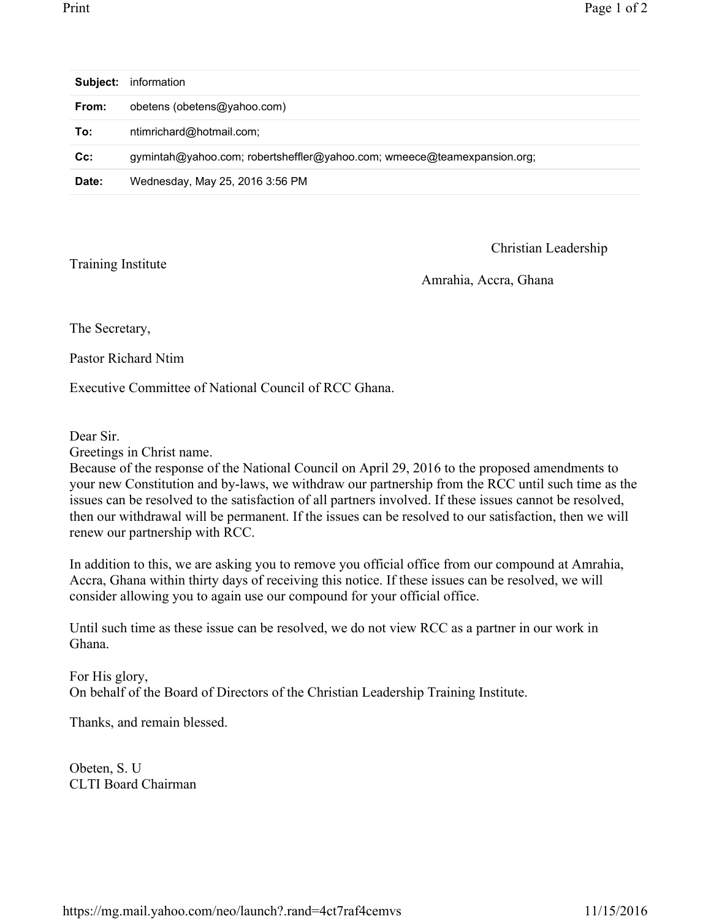| Subject: | information                                                             |
|----------|-------------------------------------------------------------------------|
| From:    | obetens (obetens@yahoo.com)                                             |
| To:      | ntimrichard@hotmail.com;                                                |
| $Cc$ :   | gymintah@yahoo.com; robertsheffler@yahoo.com; wmeece@teamexpansion.org; |
| Date:    | Wednesday, May 25, 2016 3:56 PM                                         |

Training Institute

Christian Leadership

Amrahia, Accra, Ghana

The Secretary,

Pastor Richard Ntim

Executive Committee of National Council of RCC Ghana.

Dear Sir.

Greetings in Christ name.

Because of the response of the National Council on April 29, 2016 to the proposed amendments to your new Constitution and by-laws, we withdraw our partnership from the RCC until such time as the issues can be resolved to the satisfaction of all partners involved. If these issues cannot be resolved, then our withdrawal will be permanent. If the issues can be resolved to our satisfaction, then we will renew our partnership with RCC.

In addition to this, we are asking you to remove you official office from our compound at Amrahia, Accra, Ghana within thirty days of receiving this notice. If these issues can be resolved, we will consider allowing you to again use our compound for your official office.

Until such time as these issue can be resolved, we do not view RCC as a partner in our work in Ghana.

For His glory, On behalf of the Board of Directors of the Christian Leadership Training Institute.

Thanks, and remain blessed.

Obeten, S. U CLTI Board Chairman